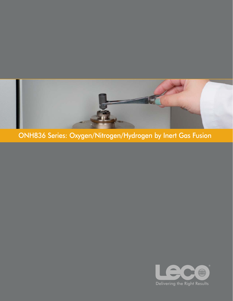

ONH836 Series: Oxygen/Nitrogen/Hydrogen by Inert Gas Fusion

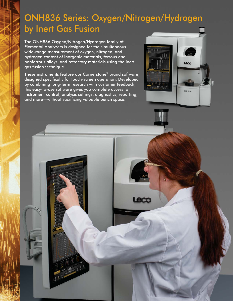# ONH836 Series: Oxygen/Nitrogen/Hydrogen by Inert Gas Fusion

The ONH836 Oxygen/Nitrogen/Hydrogen family of Elemental Analyzers is designed for the simultaneous wide-range measurement of oxygen, nitrogen, and hydrogen content of inorganic materials, ferrous and nonferrous alloys, and refractory materials using the inert gas fusion technique.

These instruments feature our Cornerstone<sup>®</sup> brand software, designed specifically for touch-screen operation. Developed by combining long-term research with customer feedback, this easy-to-use software gives you complete access to instrument control, analysis settings, diagnostics, reporting, and more—without sacrificing valuable bench space.



end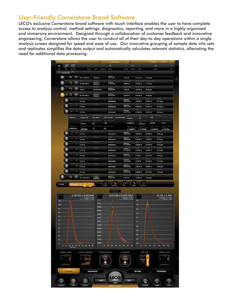### **User-Friendly Cornerstone Brand Software**

LECO's exclusive Cornerstone brand software with touch interface enables the user to have complete access to analysis control, method settings, diagnostics, reporting, and more in a highly organized and immersive environment. Designed through a collaboration of customer feedback and innovative engineering, Cornerstone allows the user to conduct all of their day-to-day operations within a single analysis screen designed for speed and ease of use. Our innovative grouping of sample data into sets and replicates simplifies the data output and automatically calculates relevant statistics, alleviating the need for additional data processing.

|                  |                        | <b>IECO® Cornerstone® ONH836</b>            |                                           |                                          | Administrator                   |                                             |                            | 7/13/2015                      | 11:05 AM 3                                              | 缅    |
|------------------|------------------------|---------------------------------------------|-------------------------------------------|------------------------------------------|---------------------------------|---------------------------------------------|----------------------------|--------------------------------|---------------------------------------------------------|------|
| ⊚                | ூ                      | 記<br>≣                                      |                                           | 户                                        | 65                              | $\circledR$                                 |                            | 联合                             |                                                         | ×    |
| IEECT            | <b>MATT</b>            | SELECT ALL                                  | <b>BUVAC</b>                              | CAUBRATE<br>DIDET                        | RECALC                          | INCLUDE<br>EXCLUDE                          | DELETE                     | OUTPUT                         |                                                         | MORE |
| a                |                        |                                             |                                           |                                          |                                 |                                             |                            |                                |                                                         |      |
|                  |                        | 132<br>$\mathbf{R}$                         | 762-741 (0672)                            | 40.8ppm H                                | 3/2/2015<br>1.10.53 PM          | 0.1650%<br>Drygen Average                   | 0.01124%<br><b>Nizoger</b> | 38.23 ppm<br>lijdingen Average |                                                         |      |
|                  |                        | Q                                           | 501-657.0567-1                            | 0.097% O                                 | 3/2/2015<br>1:17:04 PM          | 0.09658.%                                   | 0.01492%                   | 51.11 ppm                      |                                                         |      |
|                  |                        | œ<br>18                                     | 154811                                    | 501-657 0572                             | 3/2/2015<br>3.00.29 PM          | 0.1003%                                     | 0.01395%                   | 58.80 ppm                      |                                                         |      |
|                  |                        | $\overline{\mathbf{11}}$<br>г,              | 501-657 0567-1                            | 0.097% O                                 | 3/2/2015<br>4:37:24 PM          | 0.09720%                                    | 0.01406 %                  | 52.50 ppm                      |                                                         |      |
|                  |                        | Ŧ                                           |                                           | Commerci                                 | Collins                         | 3/2/2015<br>3:46:39 PM                      |                            |                                |                                                         |      |
|                  |                        |                                             | 0.1131 g                                  | Commerci                                 | Administrator                   | 3/2/2015                                    | 0.09347.%                  | 0.01451%                       | 56.11 ppm                                               |      |
|                  |                        | $\overline{2}$                              | 0.1130a                                   | <b>Connecc</b>                           | Administrator<br>Operato        | 3:50:47 PM                                  | 0.09624%                   | 0.01412%                       | 54.13 ppm                                               |      |
|                  |                        | $\overline{\mathbf{3}}$<br><b>Joger Mat</b> | 0.1136q<br>Ologen Kange                   | Disgre Adulted Area Disg                 | Administrator                   | 3/2/2015<br>3:54:37 PM<br>ALCOHOL: AUST     | 0.09453.%                  | 0.01456%                       | <b>50.90 ppm</b><br><b>Car King Area</b>                |      |
|                  |                        | 0.000107 q                                  | <b>Oxygen Low</b>                         | Low 0.00015                              | Low 107.81401<br>Low 2180.24598 | 0.000154                                    | 108                        | 2180                           |                                                         |      |
|                  |                        |                                             | <b>Circum High A</b><br>0.000123          | <b>Cluygen High Past</b><br>1709<br>88.9 | rt High Ray Are                 | 0.0000169 g                                 | 0.0000176                  | 0.00198                        | n Pealt Haupt<br>0.193                                  |      |
|                  |                        | Hydrogen Mac<br>0.00000579 g                | 0.00000696                                | Modecepies Reals Mainly<br>1.73<br>62.5  | tor Raw Anua                    | O÷<br>y=1.4308070.                          | $y=1.1787329$              | y=1.0406776                    | y=1.2014354.                                            |      |
|                  |                        | $\overline{4}$                              | 0.1146 g                                  | Comment                                  | Operat<br>Administrator         | 3/2/2015<br>4.03.07 PM                      | 0.09712%                   | 0.01399%                       | 47.98 ppm                                               |      |
|                  |                        | 5                                           | Sample Ma                                 | Commercial                               | Ope                             | 3/2/2015<br>4:08:46 PM                      |                            |                                | Hydrou                                                  |      |
|                  |                        | 6                                           | 0.1143g<br><b>Comple May</b>              | Commerci                                 | Administrator<br>Opr            | 3/2/2015<br>4:12:44 PM                      | 0.09933%                   | 0.01266.%                      | 52.73 ppm                                               |      |
|                  |                        |                                             | 0.1172g                                   |                                          | Administrator                   |                                             | 0.09559 %                  | 0.01380%                       | 51.53 ppm                                               |      |
|                  |                        | $\overline{7}$                              | 0.1120a<br>ncia Ma                        | Commerc                                  | Administrator<br>Opera          | 3/2/2015<br>4:16:46 PM                      | 0.09885%                   | 0.01440%                       | 49.92 ppm                                               |      |
|                  |                        | $\mathbf{a}$                                | 0.1102q                                   | Comure                                   | Administrator                   | 3/2/2015<br>4:20:57 PM                      | 0.1008 <sup>o</sup>        | 0.01452.56                     | 53.74 ppm                                               |      |
|                  |                        | 9                                           | Lampia Mas<br>0.1172g                     |                                          | Operatt<br>Administrator        | 3/2/2015<br>4:25:39 PM                      | $0.1002$ %                 | 0.01266%                       | Hydroge<br>51.27 ppm                                    |      |
|                  |                        | 10                                          | ample Mar<br>0.1159 g                     | Comments                                 | Closiners<br>Administrator      | 3/2/2015<br>4/30:22 PM                      | 0.09707%                   | 0.01447%                       | Hultoge<br>54.98 ppm                                    |      |
|                  |                        | 11                                          | ghi Mac<br>0.1115g                        |                                          | Opacz<br>Administrator          | 3/2/2015<br>4.37.24 PM                      | 0.09609%                   | 0.01450%                       | 54.12 ppm                                               |      |
|                  |                        | 园<br>$-2$                                   | 501-320 (0598-1)                          | 0.190% O                                 | 3/2/2015<br>4:49:16 PM          | 0.1870%                                     | 0.03533%                   | 16.99 ppm                      |                                                         |      |
|                  |                        |                                             |                                           |                                          |                                 |                                             |                            |                                |                                                         |      |
| <b>LOGIN</b>     |                        |                                             |                                           | $+17.$<br><b>BLANK</b>                   | + ™<br>÷<br><b>STANDARD</b>     | 3T<br>$+$ $\heartsuit$<br>DRIFT<br>SAMPLE   | $+$ $\Box$<br>GAS DOSE     |                                |                                                         |      |
|                  |                        |                                             |                                           |                                          |                                 |                                             |                            |                                |                                                         |      |
|                  |                        |                                             | $0.09720 \pm 0.002340$                    |                                          | $0.01406 \pm 0.0007052$         |                                             |                            |                                | $52.50 \pm 2.405$                                       |      |
| $110 -$          |                        |                                             | Doygen ± 1d (%)<br>n = 11, RSD(%) = 2.407 | wwwere                                   |                                 | Nitrogen ± 1o (%)<br>n = 11, RSD(%) = 5.014 | $2.0 -$                    |                                | $19ydrogen \pm 1\sigma (ppm)\\ n = 11, RSD(96) = 4.580$ |      |
| $100 -$          |                        |                                             |                                           | 0.0022                                   |                                 |                                             | $1.8 -$                    | ٨                              |                                                         |      |
| $90 +$           |                        |                                             |                                           | $0.0020$ $\cdot$<br>$0.0018 -$           | R                               |                                             | $1.6 -$                    |                                |                                                         |      |
| $80 -$           |                        |                                             |                                           | $0.0016$ *                               |                                 |                                             | $14 -$                     |                                |                                                         |      |
| $70 -$<br>$60 +$ |                        |                                             |                                           | $0.0014$ *                               |                                 |                                             | $12 -$                     |                                |                                                         |      |
| $50 -$           |                        |                                             |                                           | $0.0012 -$<br>$0.0010 -$                 |                                 |                                             | $1.0 -$                    |                                |                                                         |      |
| 40 +             |                        |                                             |                                           | $0.0008 -$                               |                                 |                                             | $0.8 -$                    |                                |                                                         |      |
| 30 -             |                        |                                             |                                           | $0.0006$ *                               |                                 |                                             | $0.6 *$<br>$0.4 -$         |                                |                                                         |      |
| $20 -$<br>$10 -$ |                        |                                             |                                           | $0.0004$ *<br>$0.0002 -$                 |                                 |                                             | $0.2 -$                    |                                |                                                         |      |
| $0 -$            |                        |                                             |                                           | $0.0000 -$                               |                                 |                                             | $0.0 -$                    |                                |                                                         |      |
|                  |                        |                                             | $0$ 5 10 15 20 25 30 35 40 45             | $\theta$                                 | 10<br>20 30 40 50 60 70         |                                             | $\bullet$                  | $10\,$<br>20<br>30             | 40<br>50<br>60                                          |      |
|                  | <b>FURNACE CURRENT</b> |                                             | COOLANT TEMPERATURE                       | <b>INCOMING PRESSURE</b>                 |                                 | DEC PRESSURE                                |                            | MASS FLOW                      | <b>FURNACE POWER</b>                                    |      |
|                  |                        | e.                                          |                                           | WW                                       |                                 | WID                                         |                            |                                |                                                         | ú.   |
|                  |                        | c                                           | 29.0<br><u> anggulillill</u>              | <b>PH</b><br>$rac{1}{22.6}$              |                                 | mmHg<br>$\frac{156}{156}$                   | 454                        |                                | с                                                       |      |
|                  |                        |                                             |                                           |                                          |                                 |                                             |                            |                                |                                                         |      |
|                  | <b>ANALYSIS</b>        |                                             |                                           | <b>DIAGNOSTICS</b>                       |                                 |                                             | <b>SETTINGS</b>            |                                | <b>INSTRUMENT</b>                                       |      |
|                  |                        |                                             |                                           |                                          | ecc                             |                                             |                            |                                |                                                         |      |
|                  |                        |                                             |                                           | GUIDE                                    | Analyze                         | <b>HELP</b>                                 |                            |                                |                                                         |      |
| <b>LEAKCHECK</b> |                        |                                             | ACUM                                      |                                          | <b>Ready To Analyze</b>         |                                             |                            | ELECTRODE                      | CLEAN                                                   |      |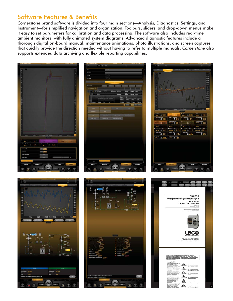### Software Features & Benefits

*Cornerstone* brand software is divided into four main sections—Analysis, Diagnostics, Settings, and Instrument—for simplified navigation and organization. Toolbars, sliders, and drop-down menus make it easy to set parameters for calibration and data processing. The software also includes real-time ambient monitors, with fully animated system diagrams. Advanced diagnostic features include a thorough digital on-board manual, maintenance animations, photo illustrations, and screen captures that quickly provide the direction needed without having to refer to multiple manuals. Cornerstone also supports extended data archiving and flexible reporting capabilities.

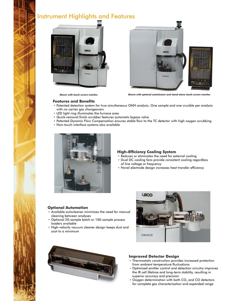### Instrument Highlights and Features





*Shown with touch-screen monitor. Shown with optional autocleaner and stand-alone touch-screen monitor.*

#### **Features and Benefits** -

- Patented detection system for true simultaneous ONH analysis. One sample and one crucible per analysis with no carrier gas changeovers
- $\bm{\cdot}$  LED light ring illuminates the furnace area
- Quick-removal finish scrubber features automatic bypass valve -
- $\bullet$  Patented Dynamic Flow Compensation ensures stable flow to the TC detector with high oxygen scrubbing
- Non-touch interface systems also available



#### **High-Efficiency Cooling System** -

- Reduces or eliminates the need for external cooling -
- Dual DC cooling fans provide consistent cooling regardless of line voltage or frequency
- Novel electrode design increases heat transfer efficiency

#### **Optional Automation** -

- Available autocleaner minimizes the need for manual cleaning between analyses
- Optional 20-sample batch or 100-sample process loaders available
- High-velocity vacuum cleaner design keeps dust and soot to a minimum





#### **Improved Detector Design** -

- Thermostatic construction provides increased protection from ambient temperature fluctuations
- Optimized emitter control and detection circuitry improves the IR cell lifetime and long-term stability, resulting in superior accuracy and precision
- $\bullet$  Oxygen determination with both CO $_2$  and CO detectors for complete gas characterization and expanded range